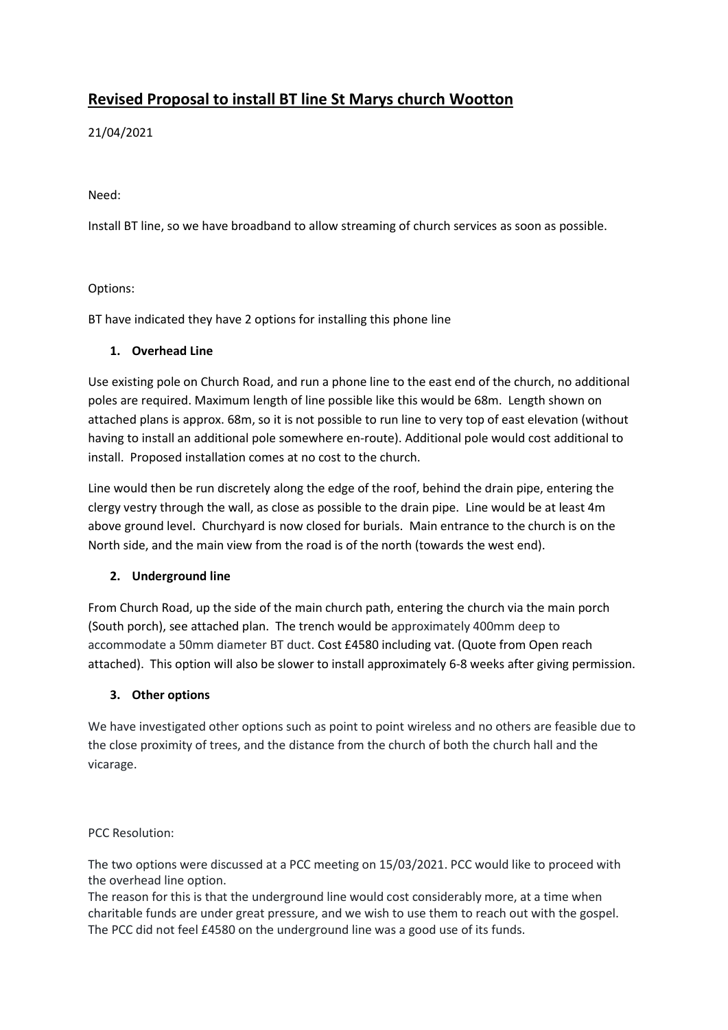# **Revised Proposal to install BT line St Marys church Wootton**

21/04/2021

Need:

Install BT line, so we have broadband to allow streaming of church services as soon as possible.

### Options:

BT have indicated they have 2 options for installing this phone line

### **1. Overhead Line**

Use existing pole on Church Road, and run a phone line to the east end of the church, no additional poles are required. Maximum length of line possible like this would be 68m. Length shown on attached plans is approx. 68m, so it is not possible to run line to very top of east elevation (without having to install an additional pole somewhere en-route). Additional pole would cost additional to install. Proposed installation comes at no cost to the church.

Line would then be run discretely along the edge of the roof, behind the drain pipe, entering the clergy vestry through the wall, as close as possible to the drain pipe. Line would be at least 4m above ground level. Churchyard is now closed for burials. Main entrance to the church is on the North side, and the main view from the road is of the north (towards the west end).

### **2. Underground line**

From Church Road, up the side of the main church path, entering the church via the main porch (South porch), see attached plan. The trench would be approximately 400mm deep to accommodate a 50mm diameter BT duct. Cost £4580 including vat. (Quote from Open reach attached). This option will also be slower to install approximately 6-8 weeks after giving permission.

### **3. Other options**

We have investigated other options such as point to point wireless and no others are feasible due to the close proximity of trees, and the distance from the church of both the church hall and the vicarage.

PCC Resolution:

The two options were discussed at a PCC meeting on 15/03/2021. PCC would like to proceed with the overhead line option.

The reason for this is that the underground line would cost considerably more, at a time when charitable funds are under great pressure, and we wish to use them to reach out with the gospel. The PCC did not feel £4580 on the underground line was a good use of its funds.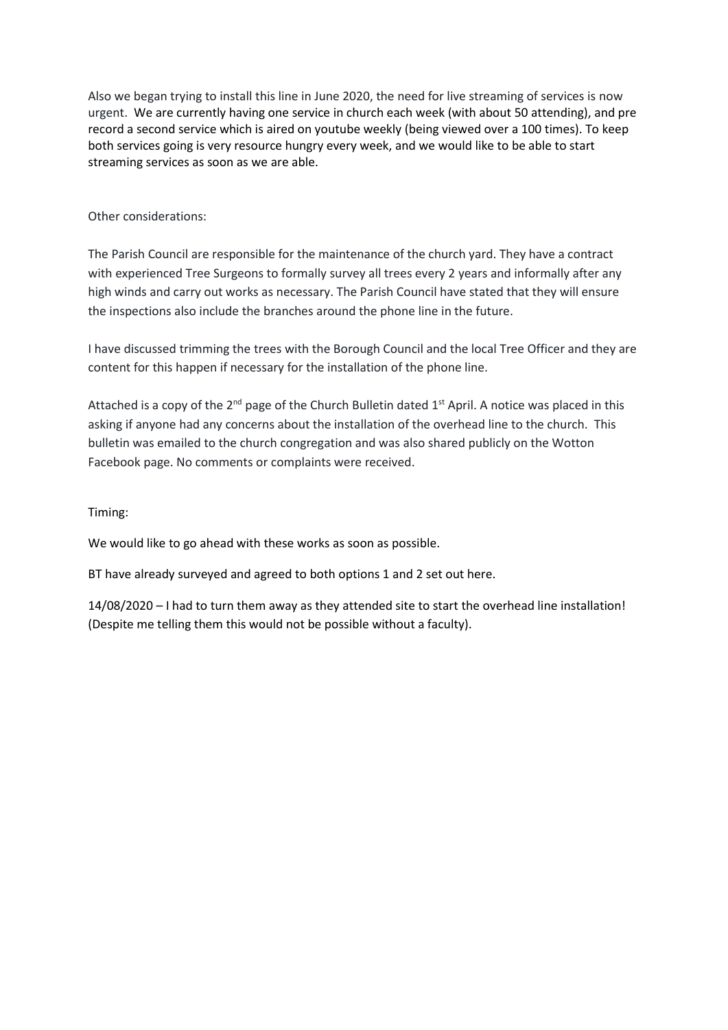Also we began trying to install this line in June 2020, the need for live streaming of services is now urgent. We are currently having one service in church each week (with about 50 attending), and pre record a second service which is aired on youtube weekly (being viewed over a 100 times). To keep both services going is very resource hungry every week, and we would like to be able to start streaming services as soon as we are able.

### Other considerations:

The Parish Council are responsible for the maintenance of the church yard. They have a contract with experienced Tree Surgeons to formally survey all trees every 2 years and informally after any high winds and carry out works as necessary. The Parish Council have stated that they will ensure the inspections also include the branches around the phone line in the future.

I have discussed trimming the trees with the Borough Council and the local Tree Officer and they are content for this happen if necessary for the installation of the phone line.

Attached is a copy of the 2<sup>nd</sup> page of the Church Bulletin dated 1<sup>st</sup> April. A notice was placed in this asking if anyone had any concerns about the installation of the overhead line to the church. This bulletin was emailed to the church congregation and was also shared publicly on the Wotton Facebook page. No comments or complaints were received.

### Timing:

We would like to go ahead with these works as soon as possible.

BT have already surveyed and agreed to both options 1 and 2 set out here.

14/08/2020 – I had to turn them away as they attended site to start the overhead line installation! (Despite me telling them this would not be possible without a faculty).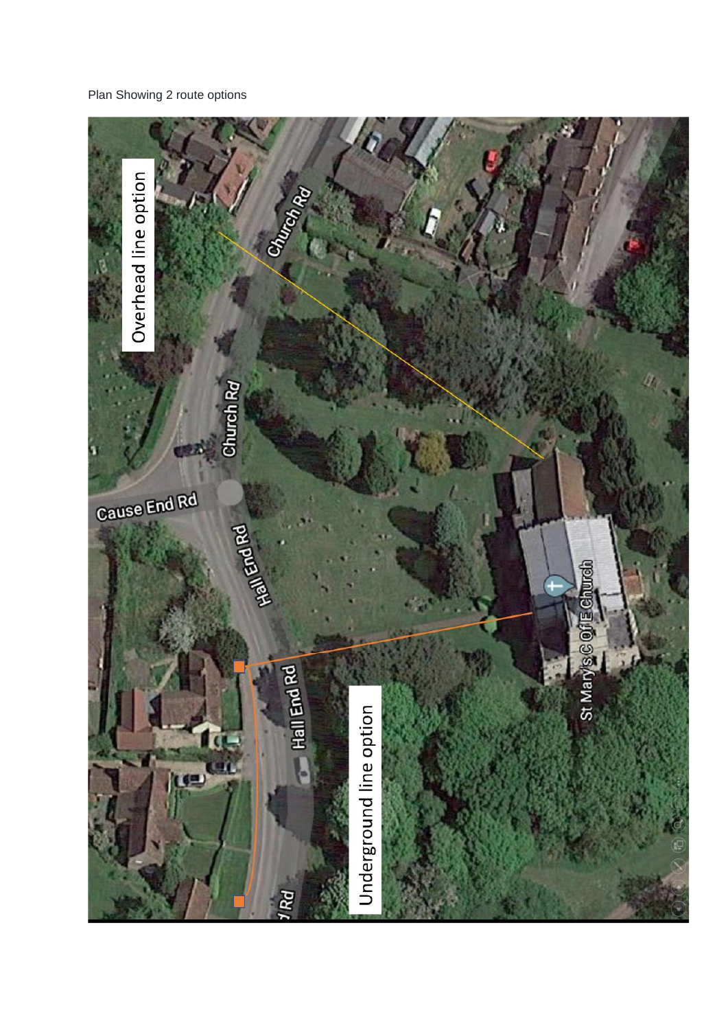Plan Showing 2 route options

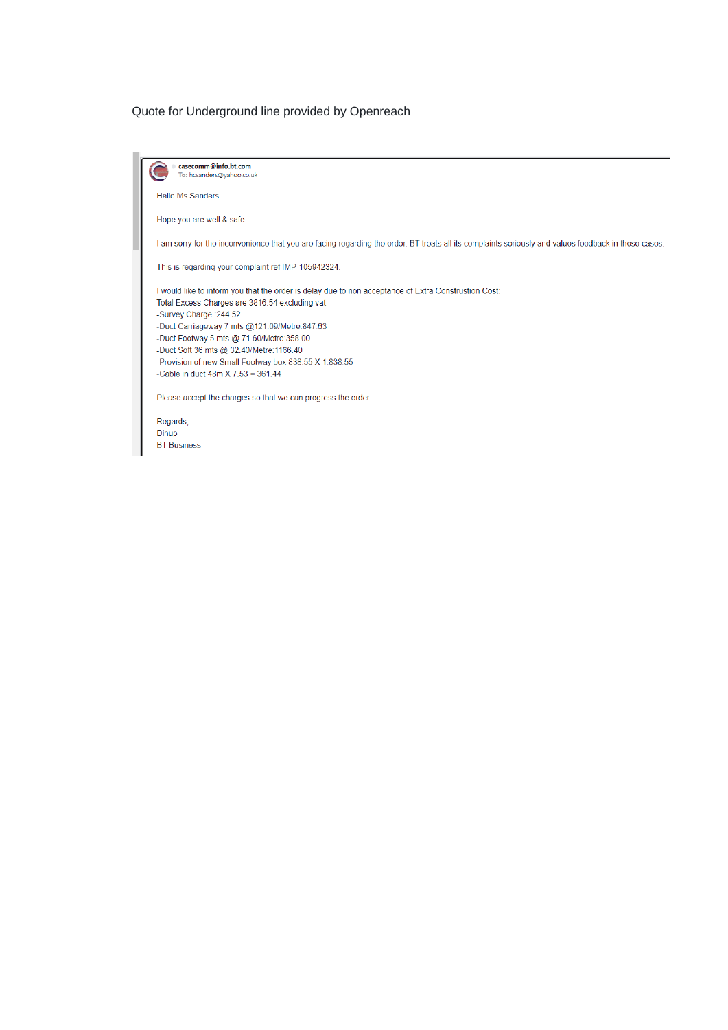## Quote for Underground line provided by Openreach

| casecomm@info.bt.com<br>To: hcsanders@yahoo.co.uk                                                                                                       |
|---------------------------------------------------------------------------------------------------------------------------------------------------------|
| <b>Hello Ms Sanders</b>                                                                                                                                 |
| Hope you are well & safe.                                                                                                                               |
| am sorry for the inconvenience that you are facing regarding the order. BT treats all its complaints seriously and values feedback in these cases.      |
| This is regarding your complaint ref IMP-105942324.                                                                                                     |
| I would like to inform you that the order is delay due to non acceptance of Extra Construstion Cost:<br>Total Excess Charges are 3816.54 excluding vat. |
| -Survey Charge : 244.52                                                                                                                                 |
| -Duct Carriageway 7 mts @121.09/Metre:847.63<br>-Duct Footway 5 mts @ 71.60/Metre:358.00                                                                |
| -Duct Soft 36 mts @ 32.40/Metre:1166.40                                                                                                                 |
| -Provision of new Small Footway box 838.55 X 1:838.55                                                                                                   |
| -Cable in duct $48m X 7.53 = 361.44$                                                                                                                    |
| Please accept the charges so that we can progress the order.                                                                                            |
| Regards,                                                                                                                                                |
| Dinun                                                                                                                                                   |

Dinup<br>BT Business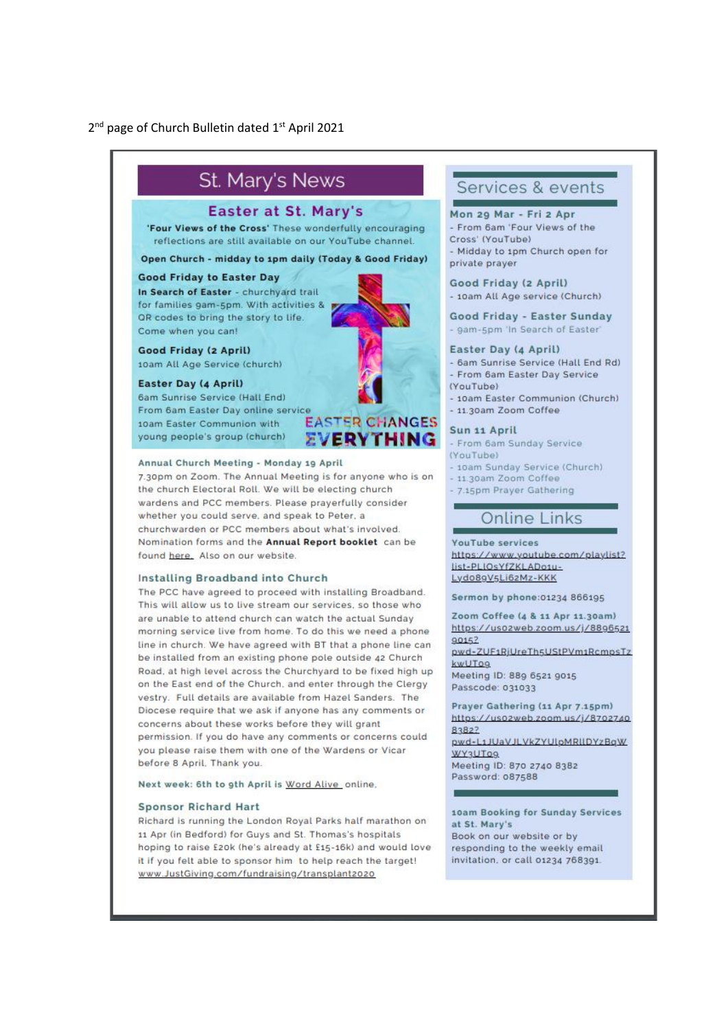### 2<sup>nd</sup> page of Church Bulletin dated 1<sup>st</sup> April 2021



7.30pm on Zoom. The Annual Meeting is for anyone who is on the church Electoral Roll. We will be electing church wardens and PCC members. Please prayerfully consider whether you could serve, and speak to Peter, a churchwarden or PCC members about what's involved. Nomination forms and the Annual Report booklet can be found here. Also on our website.

#### Installing Broadband into Church

The PCC have agreed to proceed with installing Broadband. This will allow us to live stream our services, so those who are unable to attend church can watch the actual Sunday morning service live from home. To do this we need a phone line in church. We have agreed with BT that a phone line can be installed from an existing phone pole outside 42 Church Road, at high level across the Churchyard to be fixed high up on the East end of the Church, and enter through the Clergy vestry. Full details are available from Hazel Sanders. The Diocese require that we ask if anyone has any comments or concerns about these works before they will grant permission. If you do have any comments or concerns could you please raise them with one of the Wardens or Vicar before 8 April, Thank you

Next week: 6th to 9th April is Word Alive online,

#### **Sponsor Richard Hart**

Richard is running the London Royal Parks half marathon on 11 Apr (in Bedford) for Guys and St. Thomas's hospitals hoping to raise £20k (he's already at £15-16k) and would love it if you felt able to sponsor him to help reach the target! www.JustGiving.com/fundraising/transplant2020

## Services & events

Mon 20 Mar - Fri 2 Apr - From 6am 'Four Views of the Cross' (YouTube) - Midday to 1pm Church open for private prayer

Good Friday (2 April) - 10am All Age service (Church)

Good Friday - Easter Sunday - gam-5pm 'In Search of Easter'

#### Easter Day (4 April)

- 6am Sunrise Service (Hall End Rd) - From 6am Easter Day Service (VouTube)

- 10am Easter Communion (Church) - 11.30am Zoom Coffee

#### Sun 11 April

- From 6am Sunday Service (VouTube)

- 10am Sunday Service (Church)

- 11.30am Zoom Coffee
- 7.15pm Prayer Gathering

## **Online Links**

**YouTube services** https://www.youtube.com/playlist? list-PLIOsYfZKLADosu-Lydo89V5Li62Mz-KKK

Sermon by phone:01234 866195

Zoom Coffee (4 & 11 Apr 11.30am) https://usozweb.zoom.us/j/8896521  $90157$ pwd-ZUF1RiUreTh5UStPVm1RcmpsTz kwUTog

Meeting ID: 889 6521 9015 Passcode: 031033

Prayer Gathering (11 Apr 7.15pm) https://usozweb.zoom.us/j/8702740 83827 pwd-L1JUaVJLVkZYUlpMRIIDYzBaW **WY3UT09** Meeting ID: 870 2740 8382 Password: 087588

10am Booking for Sunday Services at St. Mary's Book on our website or by responding to the weekly email invitation, or call 01234 768391.